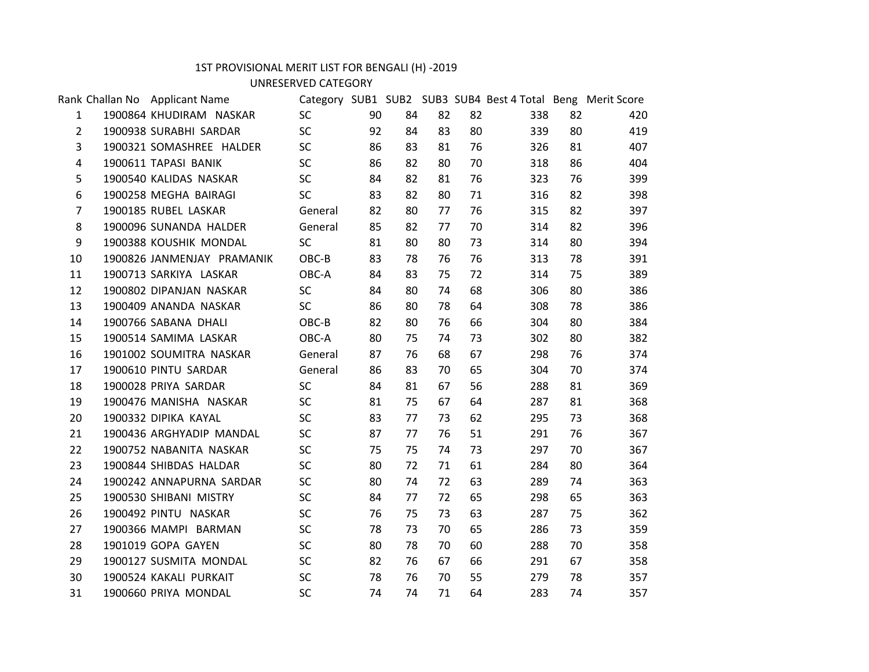## 1ST PROVISIONAL MERIT LIST FOR BENGALI (H) -2019

UNRESERVED CATEGORY

|                | Rank Challan No Applicant Name |           |    |    |    |    | Category SUB1 SUB2 SUB3 SUB4 Best 4 Total Beng Merit Score |    |     |  |
|----------------|--------------------------------|-----------|----|----|----|----|------------------------------------------------------------|----|-----|--|
| $\mathbf{1}$   | 1900864 KHUDIRAM NASKAR        | <b>SC</b> | 90 | 84 | 82 | 82 | 338                                                        | 82 | 420 |  |
| $\overline{2}$ | 1900938 SURABHI SARDAR         | <b>SC</b> | 92 | 84 | 83 | 80 | 339                                                        | 80 | 419 |  |
| 3              | 1900321 SOMASHREE HALDER       | <b>SC</b> | 86 | 83 | 81 | 76 | 326                                                        | 81 | 407 |  |
| $\overline{4}$ | 1900611 TAPASI BANIK           | <b>SC</b> | 86 | 82 | 80 | 70 | 318                                                        | 86 | 404 |  |
| 5              | 1900540 KALIDAS NASKAR         | <b>SC</b> | 84 | 82 | 81 | 76 | 323                                                        | 76 | 399 |  |
| 6              | 1900258 MEGHA BAIRAGI          | <b>SC</b> | 83 | 82 | 80 | 71 | 316                                                        | 82 | 398 |  |
| 7              | 1900185 RUBEL LASKAR           | General   | 82 | 80 | 77 | 76 | 315                                                        | 82 | 397 |  |
| 8              | 1900096 SUNANDA HALDER         | General   | 85 | 82 | 77 | 70 | 314                                                        | 82 | 396 |  |
| 9              | 1900388 KOUSHIK MONDAL         | <b>SC</b> | 81 | 80 | 80 | 73 | 314                                                        | 80 | 394 |  |
| 10             | 1900826 JANMENJAY PRAMANIK     | OBC-B     | 83 | 78 | 76 | 76 | 313                                                        | 78 | 391 |  |
| 11             | 1900713 SARKIYA LASKAR         | OBC-A     | 84 | 83 | 75 | 72 | 314                                                        | 75 | 389 |  |
| 12             | 1900802 DIPANJAN NASKAR        | <b>SC</b> | 84 | 80 | 74 | 68 | 306                                                        | 80 | 386 |  |
| 13             | 1900409 ANANDA NASKAR          | <b>SC</b> | 86 | 80 | 78 | 64 | 308                                                        | 78 | 386 |  |
| 14             | 1900766 SABANA DHALI           | OBC-B     | 82 | 80 | 76 | 66 | 304                                                        | 80 | 384 |  |
| 15             | 1900514 SAMIMA LASKAR          | OBC-A     | 80 | 75 | 74 | 73 | 302                                                        | 80 | 382 |  |
| 16             | 1901002 SOUMITRA NASKAR        | General   | 87 | 76 | 68 | 67 | 298                                                        | 76 | 374 |  |
| 17             | 1900610 PINTU SARDAR           | General   | 86 | 83 | 70 | 65 | 304                                                        | 70 | 374 |  |
| 18             | 1900028 PRIYA SARDAR           | <b>SC</b> | 84 | 81 | 67 | 56 | 288                                                        | 81 | 369 |  |
| 19             | 1900476 MANISHA NASKAR         | <b>SC</b> | 81 | 75 | 67 | 64 | 287                                                        | 81 | 368 |  |
| 20             | 1900332 DIPIKA KAYAL           | <b>SC</b> | 83 | 77 | 73 | 62 | 295                                                        | 73 | 368 |  |
| 21             | 1900436 ARGHYADIP MANDAL       | <b>SC</b> | 87 | 77 | 76 | 51 | 291                                                        | 76 | 367 |  |
| 22             | 1900752 NABANITA NASKAR        | <b>SC</b> | 75 | 75 | 74 | 73 | 297                                                        | 70 | 367 |  |
| 23             | 1900844 SHIBDAS HALDAR         | <b>SC</b> | 80 | 72 | 71 | 61 | 284                                                        | 80 | 364 |  |
| 24             | 1900242 ANNAPURNA SARDAR       | <b>SC</b> | 80 | 74 | 72 | 63 | 289                                                        | 74 | 363 |  |
| 25             | 1900530 SHIBANI MISTRY         | <b>SC</b> | 84 | 77 | 72 | 65 | 298                                                        | 65 | 363 |  |
| 26             | 1900492 PINTU NASKAR           | <b>SC</b> | 76 | 75 | 73 | 63 | 287                                                        | 75 | 362 |  |
| 27             | 1900366 MAMPI BARMAN           | <b>SC</b> | 78 | 73 | 70 | 65 | 286                                                        | 73 | 359 |  |
| 28             | 1901019 GOPA GAYEN             | <b>SC</b> | 80 | 78 | 70 | 60 | 288                                                        | 70 | 358 |  |
| 29             | 1900127 SUSMITA MONDAL         | <b>SC</b> | 82 | 76 | 67 | 66 | 291                                                        | 67 | 358 |  |
| 30             | 1900524 KAKALI PURKAIT         | <b>SC</b> | 78 | 76 | 70 | 55 | 279                                                        | 78 | 357 |  |
| 31             | 1900660 PRIYA MONDAL           | <b>SC</b> | 74 | 74 | 71 | 64 | 283                                                        | 74 | 357 |  |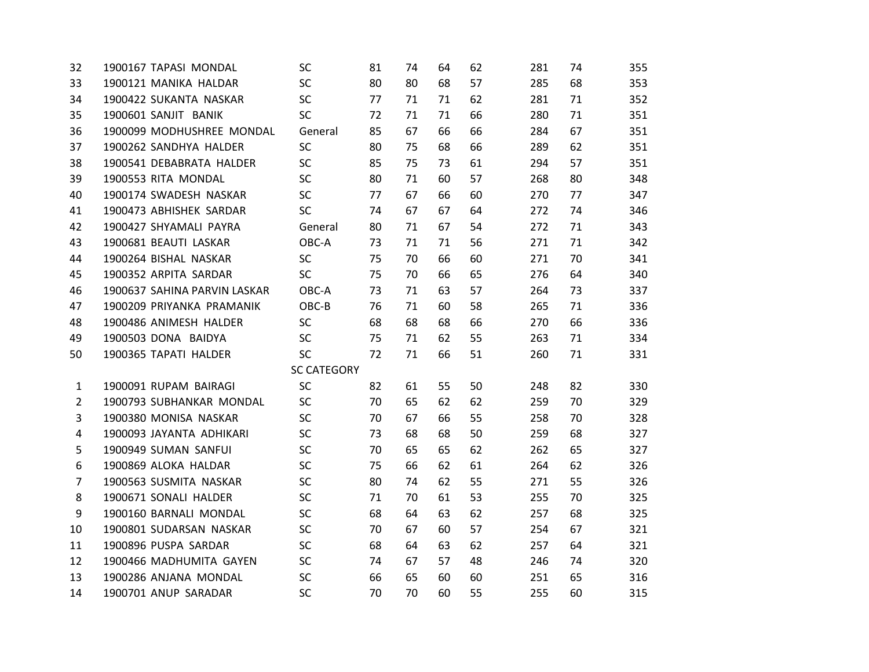| 32             | 1900167 TAPASI MONDAL        | SC                 | 81 | 74 | 64 | 62 | 281 | 74 | 355 |
|----------------|------------------------------|--------------------|----|----|----|----|-----|----|-----|
| 33             | 1900121 MANIKA HALDAR        | <b>SC</b>          | 80 | 80 | 68 | 57 | 285 | 68 | 353 |
| 34             | 1900422 SUKANTA NASKAR       | <b>SC</b>          | 77 | 71 | 71 | 62 | 281 | 71 | 352 |
| 35             | 1900601 SANJIT BANIK         | <b>SC</b>          | 72 | 71 | 71 | 66 | 280 | 71 | 351 |
| 36             | 1900099 MODHUSHREE MONDAL    | General            | 85 | 67 | 66 | 66 | 284 | 67 | 351 |
| 37             | 1900262 SANDHYA HALDER       | <b>SC</b>          | 80 | 75 | 68 | 66 | 289 | 62 | 351 |
| 38             | 1900541 DEBABRATA HALDER     | <b>SC</b>          | 85 | 75 | 73 | 61 | 294 | 57 | 351 |
| 39             | 1900553 RITA MONDAL          | <b>SC</b>          | 80 | 71 | 60 | 57 | 268 | 80 | 348 |
| 40             | 1900174 SWADESH NASKAR       | <b>SC</b>          | 77 | 67 | 66 | 60 | 270 | 77 | 347 |
| 41             | 1900473 ABHISHEK SARDAR      | <b>SC</b>          | 74 | 67 | 67 | 64 | 272 | 74 | 346 |
| 42             | 1900427 SHYAMALI PAYRA       | General            | 80 | 71 | 67 | 54 | 272 | 71 | 343 |
| 43             | 1900681 BEAUTI LASKAR        | OBC-A              | 73 | 71 | 71 | 56 | 271 | 71 | 342 |
| 44             | 1900264 BISHAL NASKAR        | SC                 | 75 | 70 | 66 | 60 | 271 | 70 | 341 |
| 45             | 1900352 ARPITA SARDAR        | <b>SC</b>          | 75 | 70 | 66 | 65 | 276 | 64 | 340 |
| 46             | 1900637 SAHINA PARVIN LASKAR | OBC-A              | 73 | 71 | 63 | 57 | 264 | 73 | 337 |
| 47             | 1900209 PRIYANKA PRAMANIK    | OBC-B              | 76 | 71 | 60 | 58 | 265 | 71 | 336 |
| 48             | 1900486 ANIMESH HALDER       | <b>SC</b>          | 68 | 68 | 68 | 66 | 270 | 66 | 336 |
| 49             | 1900503 DONA BAIDYA          | <b>SC</b>          | 75 | 71 | 62 | 55 | 263 | 71 | 334 |
| 50             | 1900365 TAPATI HALDER        | <b>SC</b>          | 72 | 71 | 66 | 51 | 260 | 71 | 331 |
|                |                              | <b>SC CATEGORY</b> |    |    |    |    |     |    |     |
| $\mathbf{1}$   | 1900091 RUPAM BAIRAGI        | SC                 | 82 | 61 | 55 | 50 | 248 | 82 | 330 |
| $\overline{2}$ | 1900793 SUBHANKAR MONDAL     | SC                 | 70 | 65 | 62 | 62 | 259 | 70 | 329 |
| 3              | 1900380 MONISA NASKAR        | <b>SC</b>          | 70 | 67 | 66 | 55 | 258 | 70 | 328 |
| $\overline{4}$ | 1900093 JAYANTA ADHIKARI     | <b>SC</b>          | 73 | 68 | 68 | 50 | 259 | 68 | 327 |
| 5              | 1900949 SUMAN SANFUI         | <b>SC</b>          | 70 | 65 | 65 | 62 | 262 | 65 | 327 |
| 6              | 1900869 ALOKA HALDAR         | <b>SC</b>          | 75 | 66 | 62 | 61 | 264 | 62 | 326 |
| $\overline{7}$ | 1900563 SUSMITA NASKAR       | <b>SC</b>          | 80 | 74 | 62 | 55 | 271 | 55 | 326 |
| 8              | 1900671 SONALI HALDER        | SC                 | 71 | 70 | 61 | 53 | 255 | 70 | 325 |
| 9              | 1900160 BARNALI MONDAL       | <b>SC</b>          | 68 | 64 | 63 | 62 | 257 | 68 | 325 |
| 10             | 1900801 SUDARSAN NASKAR      | <b>SC</b>          | 70 | 67 | 60 | 57 | 254 | 67 | 321 |
| 11             | 1900896 PUSPA SARDAR         | <b>SC</b>          | 68 | 64 | 63 | 62 | 257 | 64 | 321 |
| 12             | 1900466 MADHUMITA GAYEN      | <b>SC</b>          | 74 | 67 | 57 | 48 | 246 | 74 | 320 |
| 13             | 1900286 ANJANA MONDAL        | <b>SC</b>          | 66 | 65 | 60 | 60 | 251 | 65 | 316 |
| 14             | 1900701 ANUP SARADAR         | <b>SC</b>          | 70 | 70 | 60 | 55 | 255 | 60 | 315 |